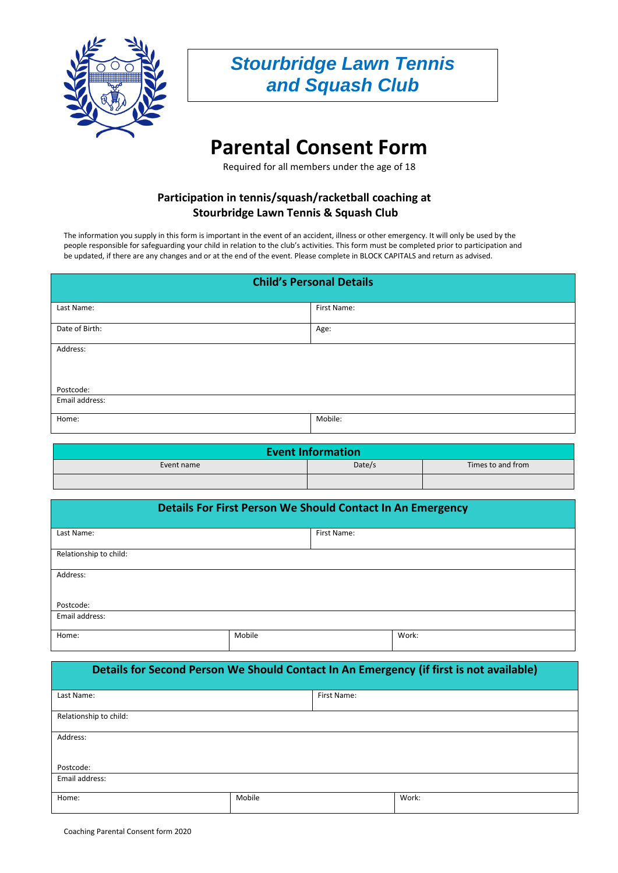

## *Stourbridge Lawn Tennis and Squash Club*

# **Parental Consent Form**

Required for all members under the age of 18

## **Participation in tennis/squash/racketball coaching at Stourbridge Lawn Tennis & Squash Club**

The information you supply in this form is important in the event of an accident, illness or other emergency. It will only be used by the people responsible for safeguarding your child in relation to the club's activities. This form must be completed prior to participation and be updated, if there are any changes and or at the end of the event. Please complete in BLOCK CAPITALS and return as advised.

| <b>Child's Personal Details</b> |             |  |
|---------------------------------|-------------|--|
| Last Name:                      | First Name: |  |
| Date of Birth:                  | Age:        |  |
| Address:                        |             |  |
| Postcode:                       |             |  |
| Email address:                  |             |  |
| Home:                           | Mobile:     |  |

| <b>Event Information</b> |        |                   |
|--------------------------|--------|-------------------|
| Event name               | Date/s | Times to and from |
|                          |        |                   |

| <b>Details For First Person We Should Contact In An Emergency</b> |        |             |       |
|-------------------------------------------------------------------|--------|-------------|-------|
| Last Name:                                                        |        | First Name: |       |
| Relationship to child:                                            |        |             |       |
| Address:                                                          |        |             |       |
| Postcode:                                                         |        |             |       |
| Email address:                                                    |        |             |       |
| Home:                                                             | Mobile |             | Work: |

| Details for Second Person We Should Contact In An Emergency (if first is not available) |        |             |       |
|-----------------------------------------------------------------------------------------|--------|-------------|-------|
| Last Name:                                                                              |        | First Name: |       |
| Relationship to child:                                                                  |        |             |       |
| Address:                                                                                |        |             |       |
| Postcode:                                                                               |        |             |       |
| Email address:                                                                          |        |             |       |
| Home:                                                                                   | Mobile |             | Work: |